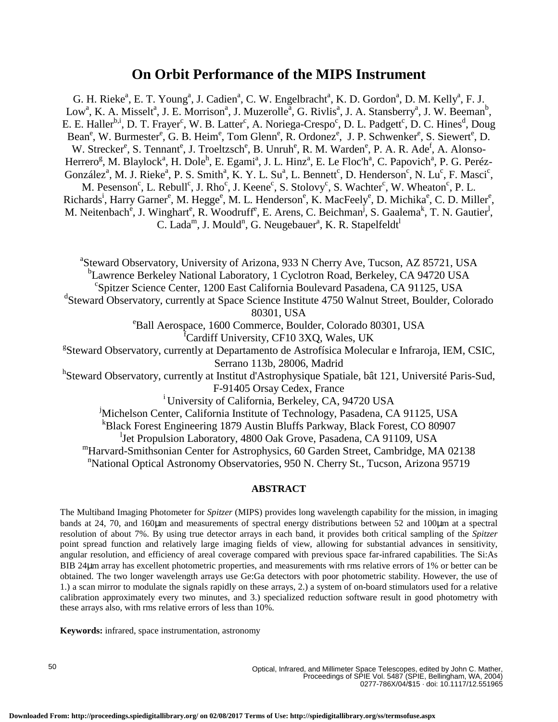# **On Orbit Performance of the MIPS Instrument**

G. H. Rieke<sup>a</sup>, E. T. Young<sup>a</sup>, J. Cadien<sup>a</sup>, C. W. Engelbracht<sup>a</sup>, K. D. Gordon<sup>a</sup>, D. M. Kelly<sup>a</sup>, F. J. Low<sup>a</sup>, K. A. Misselt<sup>a</sup>, J. E. Morrison<sup>a</sup>, J. Muzerolle<sup>a</sup>, G. Rivlis<sup>a</sup>, J. A. Stansberry<sup>a</sup>, J. W. Beeman<sup>b</sup>, E. E. Haller<sup>b,i</sup>, D. T. Frayer<sup>c</sup>, W. B. Latter<sup>c</sup>, A. Noriega-Crespo<sup>c</sup>, D. L. Padgett<sup>c</sup>, D. C. Hines<sup>d</sup>, Doug Bean<sup>e</sup>, W. Burmester<sup>e</sup>, G. B. Heim<sup>e</sup>, Tom Glenn<sup>e</sup>, R. Ordonez<sup>e</sup>, J. P. Schwenker<sup>e</sup>, S. Siewert<sup>e</sup>, D. W. Strecker<sup>e</sup>, S. Tennant<sup>e</sup>, J. Troeltzsch<sup>e</sup>, B. Unruh<sup>e</sup>, R. M. Warden<sup>e</sup>, P. A. R. Ade<sup>f</sup>, A. Alonso-Herrero<sup>g</sup>, M. Blaylock<sup>a</sup>, H. Dole<sup>h</sup>, E. Egami<sup>a</sup>, J. L. Hinz<sup>a</sup>, E. Le Floc'h<sup>a</sup>, C. Papovich<sup>a</sup>, P. G. Peréz-González<sup>a</sup>, M. J. Rieke<sup>a</sup>, P. S. Smith<sup>a</sup>, K. Y. L. Su<sup>a</sup>, L. Bennett<sup>c</sup>, D. Henderson<sup>c</sup>, N. Lu<sup>c</sup>, F. Masci<sup>c</sup>, M. Pesenson<sup>c</sup>, L. Rebull<sup>c</sup>, J. Rho<sup>c</sup>, J. Keene<sup>c</sup>, S. Stolovy<sup>c</sup>, S. Wachter<sup>c</sup>, W. Wheaton<sup>c</sup>, P. L. Richards<sup>i</sup>, Harry Garner<sup>e</sup>, M. Hegge<sup>e</sup>, M. L. Henderson<sup>e</sup>, K. MacFeely<sup>e</sup>, D. Michika<sup>e</sup>, C. D. Miller<sup>e</sup>, M. Neitenbach<sup>e</sup>, J. Winghart<sup>e</sup>, R. Woodruff<sup>e</sup>, E. Arens, C. Beichman<sup>j</sup>, S. Gaalema<sup>k</sup>, T. N. Gautier<sup>l</sup>, C. Lada<sup>m</sup>, J. Mould<sup>n</sup>, G. Neugebauer<sup>a</sup>, K. R. Stapelfeldt<sup>1</sup>

<sup>a</sup>Steward Observatory, University of Arizona, 933 N Cherry Ave, Tucson, AZ 85721, USA by sympacs Borkelov Notional Laboratory, 1 Cyclotron Boad, Borkelov, CA 04720 USA <sup>b</sup>Lawrence Berkeley National Laboratory, 1 Cyclotron Road, Berkeley, CA 94720 USA Spitzer Science Center, 1200 East California Boulevard Pasadena, CA 91125, USA <sup>d</sup>Steward Observatory, currently at Space Science Institute 4750 Walnut Street, Boulder, Colorado 80301, USA <sup>e</sup>Ball Aerospace, 1600 Commerce, Boulder, Colorado 80301, USA <sup>f</sup>Cardiff University, CF10 3XQ, Wales, UK <sup>g</sup>Steward Observatory, currently at Departamento de Astrofísica Molecular e Infraroja, IEM, CSIC, Serrano 113b, 28006, Madrid <sup>h</sup>Steward Observatory, currently at Institut d'Astrophysique Spatiale, bât 121, Université Paris-Sud, F-91405 Orsay Cedex, France i University of California, Berkeley, CA, 94720 USA Michelson Center, California Institute of Technology, Pasadena, CA 91125, USA <sup>k</sup>Black Forest Engineering 1879 Austin Bluffs Parkway, Black Forest, CO 80907 <sup>1</sup>Jet Propulsion Laboratory, 4800 Oak Grove, Pasadena, CA 91109, USA mHarvard-Smithsonian Center for Astrophysics, 60 Garden Street, Cambridge, MA 02138 n <sup>n</sup>National Optical Astronomy Observatories, 950 N. Cherry St., Tucson, Arizona 95719

## **ABSTRACT**

The Multiband Imaging Photometer for *Spitzer* (MIPS) provides long wavelength capability for the mission, in imaging bands at 24, 70, and 160 $\mu$ m and measurements of spectral energy distributions between 52 and 100 $\mu$ m at a spectral resolution of about 7%. By using true detector arrays in each band, it provides both critical sampling of the *Spitzer* point spread function and relatively large imaging fields of view, allowing for substantial advances in sensitivity, angular resolution, and efficiency of areal coverage compared with previous space far-infrared capabilities. The Si:As BIB 24 µm array has excellent photometric properties, and measurements with rms relative errors of 1% or better can be obtained. The two longer wavelength arrays use Ge:Ga detectors with poor photometric stability. However, the use of 1.) a scan mirror to modulate the signals rapidly on these arrays, 2.) a system of on-board stimulators used for a relative calibration approximately every two minutes, and 3.) specialized reduction software result in good photometry with these arrays also, with rms relative errors of less than 10%.

**Keywords:** infrared, space instrumentation, astronomy

50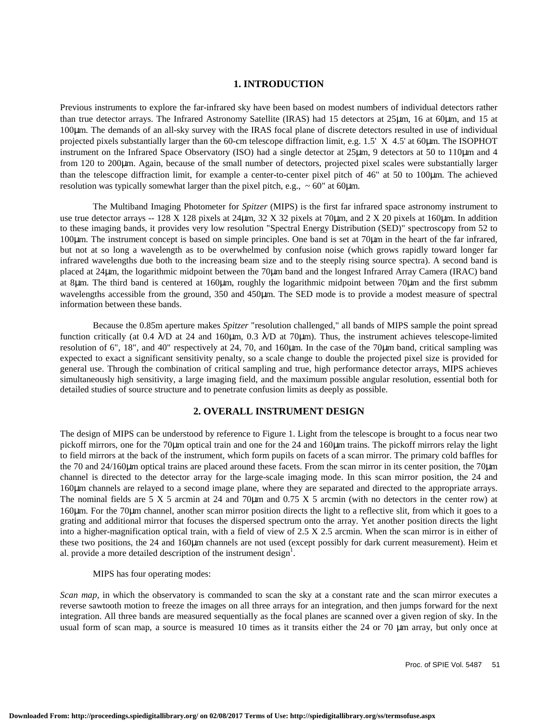## **1. INTRODUCTION**

Previous instruments to explore the far-infrared sky have been based on modest numbers of individual detectors rather than true detector arrays. The Infrared Astronomy Satellite (IRAS) had 15 detectors at 25µm, 16 at 60µm, and 15 at 100µm. The demands of an all-sky survey with the IRAS focal plane of discrete detectors resulted in use of individual projected pixels substantially larger than the 60-cm telescope diffraction limit, e.g. 1.5' X 4.5' at 60µm. The ISOPHOT instrument on the Infrared Space Observatory (ISO) had a single detector at 25 $\mu$ m, 9 detectors at 50 to 110 $\mu$ m and 4 from 120 to 200µm. Again, because of the small number of detectors, projected pixel scales were substantially larger than the telescope diffraction limit, for example a center-to-center pixel pitch of 46" at 50 to 100µm. The achieved resolution was typically somewhat larger than the pixel pitch, e.g.,  $\sim 60^{\circ}$  at 60 $\mu$ m.

The Multiband Imaging Photometer for *Spitzer* (MIPS) is the first far infrared space astronomy instrument to use true detector arrays  $-128 \text{ X } 128 \text{ pixels at } 24 \text{µm}$ ,  $32 \text{ X } 32 \text{ pixels at } 70 \text{µm}$ , and  $2 \text{ X } 20 \text{ pixels at } 160 \text{µm}$ . In addition to these imaging bands, it provides very low resolution "Spectral Energy Distribution (SED)" spectroscopy from 52 to 100µm. The instrument concept is based on simple principles. One band is set at 70µm in the heart of the far infrared, but not at so long a wavelength as to be overwhelmed by confusion noise (which grows rapidly toward longer far infrared wavelengths due both to the increasing beam size and to the steeply rising source spectra). A second band is placed at 24µm, the logarithmic midpoint between the 70µm band and the longest Infrared Array Camera (IRAC) band at 8µm. The third band is centered at 160µm, roughly the logarithmic midpoint between 70µm and the first submm wavelengths accessible from the ground, 350 and 450µm. The SED mode is to provide a modest measure of spectral information between these bands.

Because the 0.85m aperture makes *Spitzer* "resolution challenged," all bands of MIPS sample the point spread function critically (at 0.4  $\lambda$ D at 24 and 160 $\mu$ m, 0.3  $\lambda$ D at 70 $\mu$ m). Thus, the instrument achieves telescope-limited resolution of 6", 18", and 40" respectively at 24, 70, and 160µm. In the case of the 70µm band, critical sampling was expected to exact a significant sensitivity penalty, so a scale change to double the projected pixel size is provided for general use. Through the combination of critical sampling and true, high performance detector arrays, MIPS achieves simultaneously high sensitivity, a large imaging field, and the maximum possible angular resolution, essential both for detailed studies of source structure and to penetrate confusion limits as deeply as possible.

### **2. OVERALL INSTRUMENT DESIGN**

The design of MIPS can be understood by reference to Figure 1. Light from the telescope is brought to a focus near two pickoff mirrors, one for the 70µm optical train and one for the 24 and 160µm trains. The pickoff mirrors relay the light to field mirrors at the back of the instrument, which form pupils on facets of a scan mirror. The primary cold baffles for the 70 and 24/160µm optical trains are placed around these facets. From the scan mirror in its center position, the 70µm channel is directed to the detector array for the large-scale imaging mode. In this scan mirror position, the 24 and 160µm channels are relayed to a second image plane, where they are separated and directed to the appropriate arrays. The nominal fields are 5 X 5 arcmin at 24 and 70 $\mu$ m and 0.75 X 5 arcmin (with no detectors in the center row) at 160µm. For the 70µm channel, another scan mirror position directs the light to a reflective slit, from which it goes to a grating and additional mirror that focuses the dispersed spectrum onto the array. Yet another position directs the light into a higher-magnification optical train, with a field of view of 2.5 X 2.5 arcmin. When the scan mirror is in either of these two positions, the 24 and 160µm channels are not used (except possibly for dark current measurement). Heim et al. provide a more detailed description of the instrument design<sup>1</sup>.

#### MIPS has four operating modes:

*Scan map*, in which the observatory is commanded to scan the sky at a constant rate and the scan mirror executes a reverse sawtooth motion to freeze the images on all three arrays for an integration, and then jumps forward for the next integration. All three bands are measured sequentially as the focal planes are scanned over a given region of sky. In the usual form of scan map, a source is measured 10 times as it transits either the 24 or 70  $\mu$ m array, but only once at

Proc. of SPIE Vol. 5487 51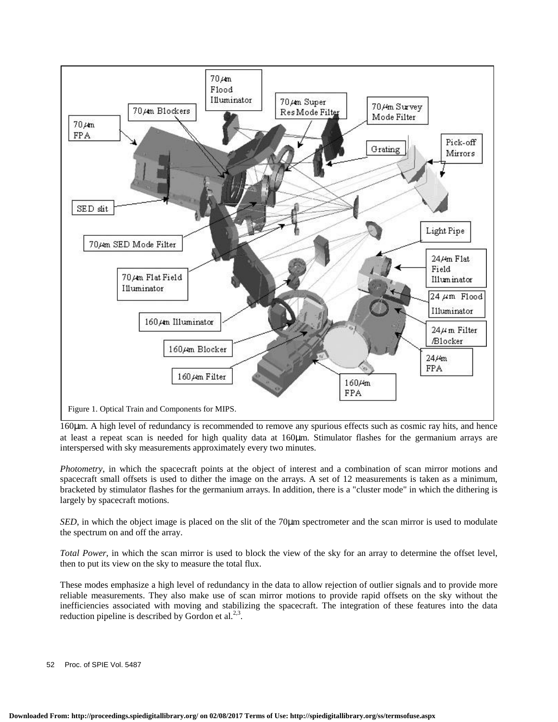

160µm. A high level of redundancy is recommended to remove any spurious effects such as cosmic ray hits, and hence at least a repeat scan is needed for high quality data at 160µm. Stimulator flashes for the germanium arrays are interspersed with sky measurements approximately every two minutes.

*Photometry*, in which the spacecraft points at the object of interest and a combination of scan mirror motions and spacecraft small offsets is used to dither the image on the arrays. A set of 12 measurements is taken as a minimum, bracketed by stimulator flashes for the germanium arrays. In addition, there is a "cluster mode" in which the dithering is largely by spacecraft motions.

*SED*, in which the object image is placed on the slit of the 70 $\mu$ m spectrometer and the scan mirror is used to modulate the spectrum on and off the array.

*Total Power*, in which the scan mirror is used to block the view of the sky for an array to determine the offset level, then to put its view on the sky to measure the total flux.

These modes emphasize a high level of redundancy in the data to allow rejection of outlier signals and to provide more reliable measurements. They also make use of scan mirror motions to provide rapid offsets on the sky without the inefficiencies associated with moving and stabilizing the spacecraft. The integration of these features into the data reduction pipeline is described by Gordon et al. $^{2,3}$ .

52 Proc. of SPIE Vol. 5487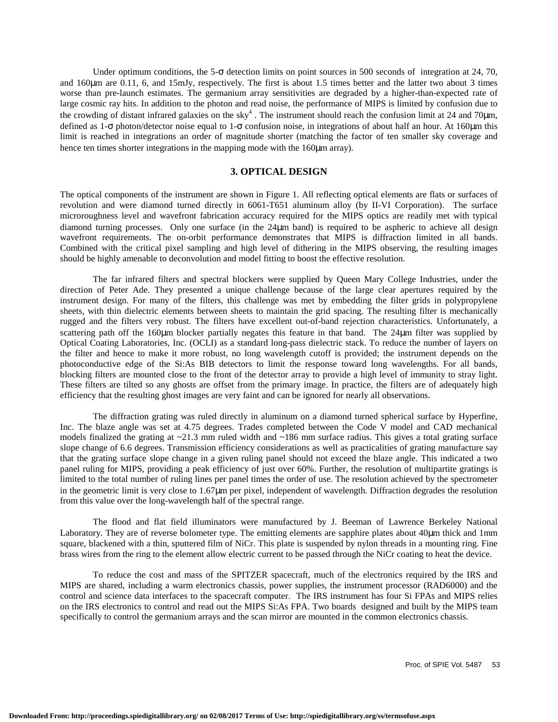Under optimum conditions, the 5-σ detection limits on point sources in 500 seconds of integration at 24, 70, and 160µm are 0.11, 6, and 15mJy, respectively. The first is about 1.5 times better and the latter two about 3 times worse than pre-launch estimates. The germanium array sensitivities are degraded by a higher-than-expected rate of large cosmic ray hits. In addition to the photon and read noise, the performance of MIPS is limited by confusion due to the crowding of distant infrared galaxies on the  $sky^4$ . The instrument should reach the confusion limit at 24 and 70 $\mu$ m, defined as 1-σ photon/detector noise equal to 1-σ confusion noise, in integrations of about half an hour. At 160µm this limit is reached in integrations an order of magnitude shorter (matching the factor of ten smaller sky coverage and hence ten times shorter integrations in the mapping mode with the 160 $\mu$ m array).

## **3. OPTICAL DESIGN**

The optical components of the instrument are shown in Figure 1. All reflecting optical elements are flats or surfaces of revolution and were diamond turned directly in 6061-T651 aluminum alloy (by II-VI Corporation). The surface microroughness level and wavefront fabrication accuracy required for the MIPS optics are readily met with typical diamond turning processes. Only one surface (in the 24µm band) is required to be aspheric to achieve all design wavefront requirements. The on-orbit performance demonstrates that MIPS is diffraction limited in all bands. Combined with the critical pixel sampling and high level of dithering in the MIPS observing, the resulting images should be highly amenable to deconvolution and model fitting to boost the effective resolution.

The far infrared filters and spectral blockers were supplied by Queen Mary College Industries, under the direction of Peter Ade. They presented a unique challenge because of the large clear apertures required by the instrument design. For many of the filters, this challenge was met by embedding the filter grids in polypropylene sheets, with thin dielectric elements between sheets to maintain the grid spacing. The resulting filter is mechanically rugged and the filters very robust. The filters have excellent out-of-band rejection characteristics. Unfortunately, a scattering path off the 160µm blocker partially negates this feature in that band. The 24µm filter was supplied by Optical Coating Laboratories, Inc. (OCLI) as a standard long-pass dielectric stack. To reduce the number of layers on the filter and hence to make it more robust, no long wavelength cutoff is provided; the instrument depends on the photoconductive edge of the Si:As BIB detectors to limit the response toward long wavelengths. For all bands, blocking filters are mounted close to the front of the detector array to provide a high level of immunity to stray light. These filters are tilted so any ghosts are offset from the primary image. In practice, the filters are of adequately high efficiency that the resulting ghost images are very faint and can be ignored for nearly all observations.

The diffraction grating was ruled directly in aluminum on a diamond turned spherical surface by Hyperfine, Inc. The blaze angle was set at 4.75 degrees. Trades completed between the Code V model and CAD mechanical models finalized the grating at  $\sim$ 21.3 mm ruled width and  $\sim$ 186 mm surface radius. This gives a total grating surface slope change of 6.6 degrees. Transmission efficiency considerations as well as practicalities of grating manufacture say that the grating surface slope change in a given ruling panel should not exceed the blaze angle. This indicated a two panel ruling for MIPS, providing a peak efficiency of just over 60%. Further, the resolution of multipartite gratings is limited to the total number of ruling lines per panel times the order of use. The resolution achieved by the spectrometer in the geometric limit is very close to 1.67µm per pixel, independent of wavelength. Diffraction degrades the resolution from this value over the long-wavelength half of the spectral range.

The flood and flat field illuminators were manufactured by J. Beeman of Lawrence Berkeley National Laboratory. They are of reverse bolometer type. The emitting elements are sapphire plates about 40µm thick and 1mm square, blackened with a thin, sputtered film of NiCr. This plate is suspended by nylon threads in a mounting ring. Fine brass wires from the ring to the element allow electric current to be passed through the NiCr coating to heat the device.

To reduce the cost and mass of the SPITZER spacecraft, much of the electronics required by the IRS and MIPS are shared, including a warm electronics chassis, power supplies, the instrument processor (RAD6000) and the control and science data interfaces to the spacecraft computer. The IRS instrument has four Si FPAs and MIPS relies on the IRS electronics to control and read out the MIPS Si:As FPA. Two boards designed and built by the MIPS team specifically to control the germanium arrays and the scan mirror are mounted in the common electronics chassis.

Proc. of SPIE Vol. 5487 53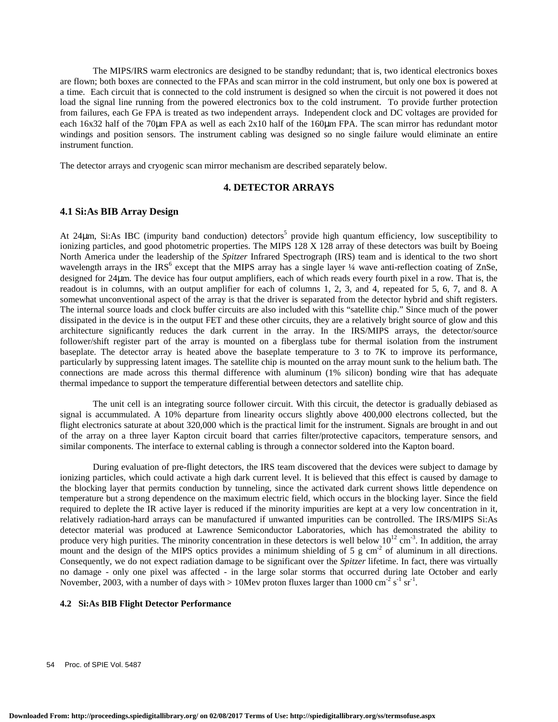The MIPS/IRS warm electronics are designed to be standby redundant; that is, two identical electronics boxes are flown; both boxes are connected to the FPAs and scan mirror in the cold instrument, but only one box is powered at a time. Each circuit that is connected to the cold instrument is designed so when the circuit is not powered it does not load the signal line running from the powered electronics box to the cold instrument. To provide further protection from failures, each Ge FPA is treated as two independent arrays. Independent clock and DC voltages are provided for each 16x32 half of the 70µm FPA as well as each 2x10 half of the 160µm FPA. The scan mirror has redundant motor windings and position sensors. The instrument cabling was designed so no single failure would eliminate an entire instrument function.

The detector arrays and cryogenic scan mirror mechanism are described separately below.

## **4. DETECTOR ARRAYS**

### **4.1 Si:As BIB Array Design**

At 24 $\mu$ m, Si:As IBC (impurity band conduction) detectors<sup>5</sup> provide high quantum efficiency, low susceptibility to ionizing particles, and good photometric properties. The MIPS 128 X 128 array of these detectors was built by Boeing North America under the leadership of the *Spitzer* Infrared Spectrograph (IRS) team and is identical to the two short wavelength arrays in the IRS<sup>6</sup> except that the MIPS array has a single layer 1/4 wave anti-reflection coating of ZnSe, designed for 24µm. The device has four output amplifiers, each of which reads every fourth pixel in a row. That is, the readout is in columns, with an output amplifier for each of columns 1, 2, 3, and 4, repeated for 5, 6, 7, and 8. A somewhat unconventional aspect of the array is that the driver is separated from the detector hybrid and shift registers. The internal source loads and clock buffer circuits are also included with this "satellite chip." Since much of the power dissipated in the device is in the output FET and these other circuits, they are a relatively bright source of glow and this architecture significantly reduces the dark current in the array. In the IRS/MIPS arrays, the detector/source follower/shift register part of the array is mounted on a fiberglass tube for thermal isolation from the instrument baseplate. The detector array is heated above the baseplate temperature to 3 to 7K to improve its performance, particularly by suppressing latent images. The satellite chip is mounted on the array mount sunk to the helium bath. The connections are made across this thermal difference with aluminum (1% silicon) bonding wire that has adequate thermal impedance to support the temperature differential between detectors and satellite chip.

The unit cell is an integrating source follower circuit. With this circuit, the detector is gradually debiased as signal is accummulated. A 10% departure from linearity occurs slightly above 400,000 electrons collected, but the flight electronics saturate at about 320,000 which is the practical limit for the instrument. Signals are brought in and out of the array on a three layer Kapton circuit board that carries filter/protective capacitors, temperature sensors, and similar components. The interface to external cabling is through a connector soldered into the Kapton board.

During evaluation of pre-flight detectors, the IRS team discovered that the devices were subject to damage by ionizing particles, which could activate a high dark current level. It is believed that this effect is caused by damage to the blocking layer that permits conduction by tunneling, since the activated dark current shows little dependence on temperature but a strong dependence on the maximum electric field, which occurs in the blocking layer. Since the field required to deplete the IR active layer is reduced if the minority impurities are kept at a very low concentration in it, relatively radiation-hard arrays can be manufactured if unwanted impurities can be controlled. The IRS/MIPS Si:As detector material was produced at Lawrence Semiconductor Laboratories, which has demonstrated the ability to produce very high purities. The minority concentration in these detectors is well below  $10^{12}$  cm<sup>-3</sup>. In addition, the array mount and the design of the MIPS optics provides a minimum shielding of 5 g cm<sup>-2</sup> of aluminum in all directions. Consequently, we do not expect radiation damage to be significant over the *Spitzer* lifetime. In fact, there was virtually no damage - only one pixel was affected - in the large solar storms that occurred during late October and early November, 2003, with a number of days with > 10Mev proton fluxes larger than 1000 cm<sup>-2</sup> s<sup>-1</sup> sr<sup>-1</sup>.

#### **4.2 Si:As BIB Flight Detector Performance**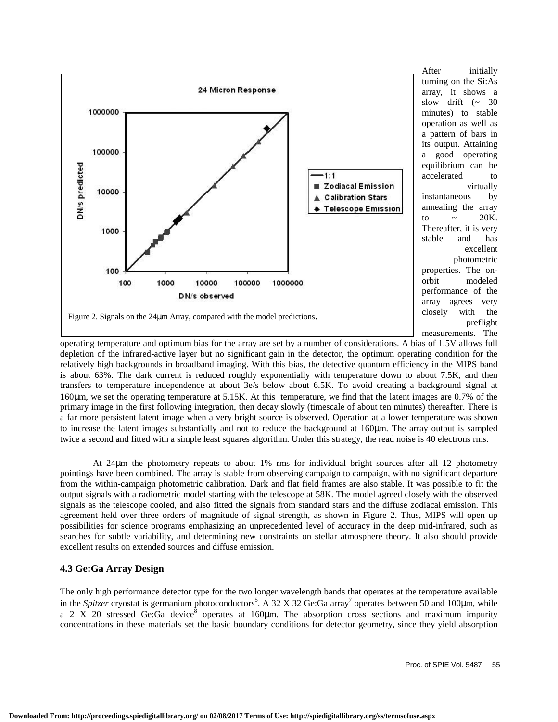

After initially turning on the Si:As array, it shows a slow drift  $\sim$  30 minutes) to stable operation as well as a pattern of bars in its output. Attaining a good operating equilibrium can be accelerated to virtually instantaneous by annealing the array to  $\sim$  20K. Thereafter, it is very stable and has excellent photometric properties. The onorbit modeled performance of the array agrees very closely with the preflight measurements. The

operating temperature and optimum bias for the array are set by a number of considerations. A bias of 1.5V allows full depletion of the infrared-active layer but no significant gain in the detector, the optimum operating condition for the relatively high backgrounds in broadband imaging. With this bias, the detective quantum efficiency in the MIPS band is about 63%. The dark current is reduced roughly exponentially with temperature down to about 7.5K, and then transfers to temperature independence at about 3e/s below about 6.5K. To avoid creating a background signal at 160µm, we set the operating temperature at 5.15K. At this temperature, we find that the latent images are 0.7% of the primary image in the first following integration, then decay slowly (timescale of about ten minutes) thereafter. There is a far more persistent latent image when a very bright source is observed. Operation at a lower temperature was shown to increase the latent images substantially and not to reduce the background at 160µm. The array output is sampled twice a second and fitted with a simple least squares algorithm. Under this strategy, the read noise is 40 electrons rms.

At 24µm the photometry repeats to about 1% rms for individual bright sources after all 12 photometry pointings have been combined. The array is stable from observing campaign to campaign, with no significant departure from the within-campaign photometric calibration. Dark and flat field frames are also stable. It was possible to fit the output signals with a radiometric model starting with the telescope at 58K. The model agreed closely with the observed signals as the telescope cooled, and also fitted the signals from standard stars and the diffuse zodiacal emission. This agreement held over three orders of magnitude of signal strength, as shown in Figure 2. Thus, MIPS will open up possibilities for science programs emphasizing an unprecedented level of accuracy in the deep mid-infrared, such as searches for subtle variability, and determining new constraints on stellar atmosphere theory. It also should provide excellent results on extended sources and diffuse emission.

## **4.3 Ge:Ga Array Design**

The only high performance detector type for the two longer wavelength bands that operates at the temperature available in the *Spitzer* cryostat is germanium photoconductors<sup>5</sup>. A 32 X 32 Ge:Ga array<sup>7</sup> operates between 50 and 100µm, while a 2 X 20 stressed Ge:Ga device<sup>8</sup> operates at 160 $\mu$ m. The absorption cross sections and maximum impurity concentrations in these materials set the basic boundary conditions for detector geometry, since they yield absorption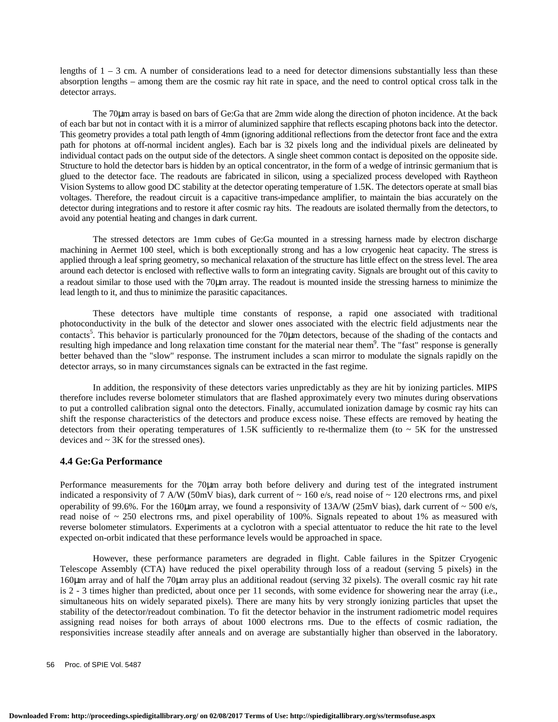lengths of  $1 - 3$  cm. A number of considerations lead to a need for detector dimensions substantially less than these absorption lengths – among them are the cosmic ray hit rate in space, and the need to control optical cross talk in the detector arrays.

 The 70µm array is based on bars of Ge:Ga that are 2mm wide along the direction of photon incidence. At the back of each bar but not in contact with it is a mirror of aluminized sapphire that reflects escaping photons back into the detector. This geometry provides a total path length of 4mm (ignoring additional reflections from the detector front face and the extra path for photons at off-normal incident angles). Each bar is 32 pixels long and the individual pixels are delineated by individual contact pads on the output side of the detectors. A single sheet common contact is deposited on the opposite side. Structure to hold the detector bars is hidden by an optical concentrator, in the form of a wedge of intrinsic germanium that is glued to the detector face. The readouts are fabricated in silicon, using a specialized process developed with Raytheon Vision Systems to allow good DC stability at the detector operating temperature of 1.5K. The detectors operate at small bias voltages. Therefore, the readout circuit is a capacitive trans-impedance amplifier, to maintain the bias accurately on the detector during integrations and to restore it after cosmic ray hits. The readouts are isolated thermally from the detectors, to avoid any potential heating and changes in dark current.

 The stressed detectors are 1mm cubes of Ge:Ga mounted in a stressing harness made by electron discharge machining in Aermet 100 steel, which is both exceptionally strong and has a low cryogenic heat capacity. The stress is applied through a leaf spring geometry, so mechanical relaxation of the structure has little effect on the stress level. The area around each detector is enclosed with reflective walls to form an integrating cavity. Signals are brought out of this cavity to a readout similar to those used with the 70 $\mu$ m array. The readout is mounted inside the stressing harness to minimize the lead length to it, and thus to minimize the parasitic capacitances.

These detectors have multiple time constants of response, a rapid one associated with traditional photoconductivity in the bulk of the detector and slower ones associated with the electric field adjustments near the contacts<sup>5</sup>. This behavior is particularly pronounced for the 70µm detectors, because of the shading of the contacts and resulting high impedance and long relaxation time constant for the material near them<sup>9</sup>. The "fast" response is generally better behaved than the "slow" response. The instrument includes a scan mirror to modulate the signals rapidly on the detector arrays, so in many circumstances signals can be extracted in the fast regime.

In addition, the responsivity of these detectors varies unpredictably as they are hit by ionizing particles. MIPS therefore includes reverse bolometer stimulators that are flashed approximately every two minutes during observations to put a controlled calibration signal onto the detectors. Finally, accumulated ionization damage by cosmic ray hits can shift the response characteristics of the detectors and produce excess noise. These effects are removed by heating the detectors from their operating temperatures of 1.5K sufficiently to re-thermalize them (to  $\sim$  5K for the unstressed devices and ~ 3K for the stressed ones).

## **4.4 Ge:Ga Performance**

Performance measurements for the 70µm array both before delivery and during test of the integrated instrument indicated a responsivity of 7 A/W (50mV bias), dark current of  $\sim 160$  e/s, read noise of  $\sim 120$  electrons rms, and pixel operability of 99.6%. For the 160 $\mu$ m array, we found a responsivity of 13A/W (25mV bias), dark current of  $\sim$  500 e/s, read noise of ~ 250 electrons rms, and pixel operability of 100%. Signals repeated to about 1% as measured with reverse bolometer stimulators. Experiments at a cyclotron with a special attentuator to reduce the hit rate to the level expected on-orbit indicated that these performance levels would be approached in space.

However, these performance parameters are degraded in flight. Cable failures in the Spitzer Cryogenic Telescope Assembly (CTA) have reduced the pixel operability through loss of a readout (serving 5 pixels) in the 160µm array and of half the 70µm array plus an additional readout (serving 32 pixels). The overall cosmic ray hit rate is 2 - 3 times higher than predicted, about once per 11 seconds, with some evidence for showering near the array (i.e., simultaneous hits on widely separated pixels). There are many hits by very strongly ionizing particles that upset the stability of the detector/readout combination. To fit the detector behavior in the instrument radiometric model requires assigning read noises for both arrays of about 1000 electrons rms. Due to the effects of cosmic radiation, the responsivities increase steadily after anneals and on average are substantially higher than observed in the laboratory.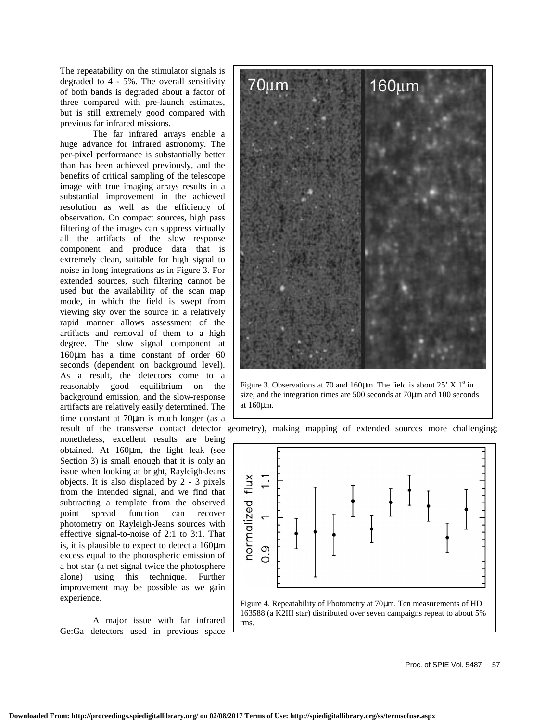The repeatability on the stimulator signals is degraded to 4 - 5%. The overall sensitivity of both bands is degraded about a factor of three compared with pre-launch estimates, but is still extremely good compared with previous far infrared missions.

The far infrared arrays enable a huge advance for infrared astronomy. The per-pixel performance is substantially better than has been achieved previously, and the benefits of critical sampling of the telescope image with true imaging arrays results in a substantial improvement in the achieved resolution as well as the efficiency of observation. On compact sources, high pass filtering of the images can suppress virtually all the artifacts of the slow response component and produce data that is extremely clean, suitable for high signal to noise in long integrations as in Figure 3. For extended sources, such filtering cannot be used but the availability of the scan map mode, in which the field is swept from viewing sky over the source in a relatively rapid manner allows assessment of the artifacts and removal of them to a high degree. The slow signal component at 160µm has a time constant of order 60 seconds (dependent on background level). As a result, the detectors come to a reasonably good equilibrium on the background emission, and the slow-response artifacts are relatively easily determined. The time constant at 70µm is much longer (as a

nonetheless, excellent results are being obtained. At 160µm, the light leak (see Section 3) is small enough that it is only an issue when looking at bright, Rayleigh-Jeans objects. It is also displaced by 2 - 3 pixels from the intended signal, and we find that subtracting a template from the observed point spread function can recover photometry on Rayleigh-Jeans sources with effective signal-to-noise of 2:1 to 3:1. That is, it is plausible to expect to detect a 160µm excess equal to the photospheric emission of a hot star (a net signal twice the photosphere alone) using this technique. Further improvement may be possible as we gain experience.

A major issue with far infrared Ge:Ga detectors used in previous space



Figure 3. Observations at 70 and 160 $\mu$ m. The field is about 25' X 1<sup>o</sup> in size, and the integration times are 500 seconds at 70µm and 100 seconds at 160µm.

result of the transverse contact detector geometry), making mapping of extended sources more challenging;

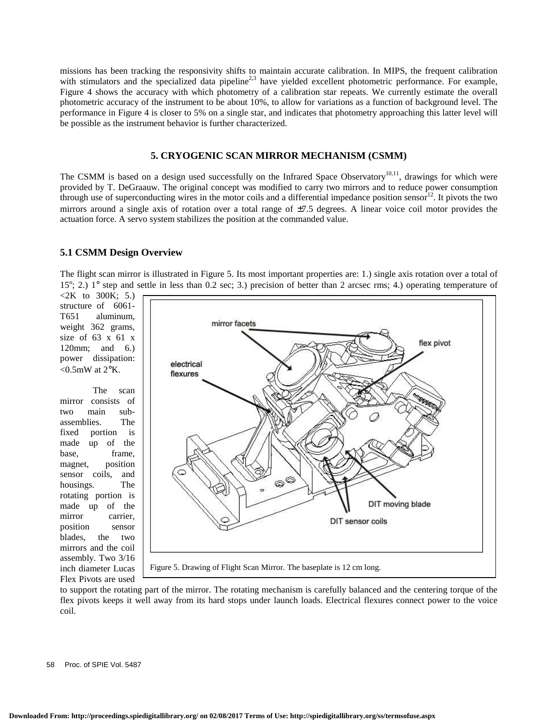missions has been tracking the responsivity shifts to maintain accurate calibration. In MIPS, the frequent calibration with stimulators and the specialized data pipeline<sup>2,3</sup> have yielded excellent photometric performance. For example, Figure 4 shows the accuracy with which photometry of a calibration star repeats. We currently estimate the overall photometric accuracy of the instrument to be about 10%, to allow for variations as a function of background level. The performance in Figure 4 is closer to 5% on a single star, and indicates that photometry approaching this latter level will be possible as the instrument behavior is further characterized.

## **5. CRYOGENIC SCAN MIRROR MECHANISM (CSMM)**

The CSMM is based on a design used successfully on the Infrared Space Observatory<sup>10,11</sup>, drawings for which were provided by T. DeGraauw. The original concept was modified to carry two mirrors and to reduce power consumption through use of superconducting wires in the motor coils and a differential impedance position sensor<sup>12</sup>. It pivots the two mirrors around a single axis of rotation over a total range of ±7.5 degrees. A linear voice coil motor provides the actuation force. A servo system stabilizes the position at the commanded value.

### **5.1 CSMM Design Overview**

The flight scan mirror is illustrated in Figure 5. Its most important properties are: 1.) single axis rotation over a total of 15°; 2.) 1° step and settle in less than 0.2 sec; 3.) precision of better than 2 arcsec rms; 4.) operating temperature of

 $2K$  to 300K; 5.) structure of 6061- T651 aluminum, weight 362 grams, size of 63 x 61 x 120mm; and 6.) power dissipation:  $<$ 0.5mW at 2 $\rm{^{\circ}K}$ .

The scan mirror consists of two main subassemblies. The fixed portion is made up of the base, frame, magnet, position sensor coils, and housings. The rotating portion is made up of the mirror carrier, position sensor blades, the two mirrors and the coil assembly. Two 3/16 inch diameter Lucas Flex Pivots are used



to support the rotating part of the mirror. The rotating mechanism is carefully balanced and the centering torque of the flex pivots keeps it well away from its hard stops under launch loads. Electrical flexures connect power to the voice coil.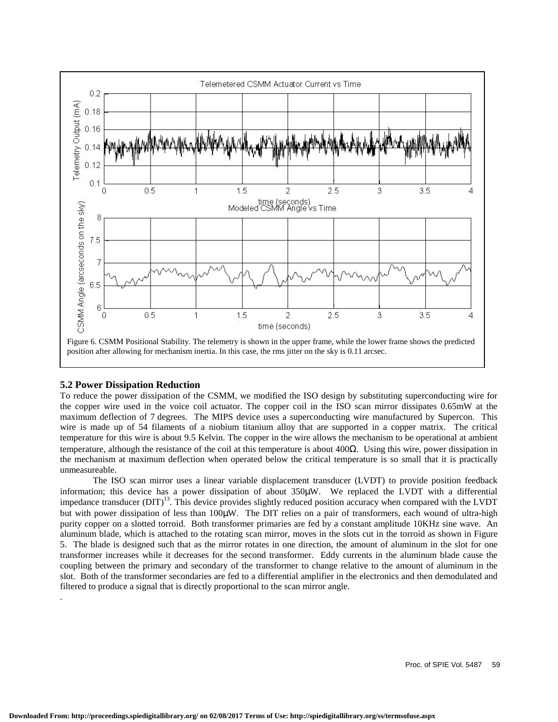

## **5.2 Power Dissipation Reduction**

.

To reduce the power dissipation of the CSMM, we modified the ISO design by substituting superconducting wire for the copper wire used in the voice coil actuator. The copper coil in the ISO scan mirror dissipates 0.65mW at the maximum deflection of 7 degrees. The MIPS device uses a superconducting wire manufactured by Supercon. This wire is made up of 54 filaments of a niobium titanium alloy that are supported in a copper matrix. The critical temperature for this wire is about 9.5 Kelvin. The copper in the wire allows the mechanism to be operational at ambient temperature, although the resistance of the coil at this temperature is about  $400\Omega$ . Using this wire, power dissipation in the mechanism at maximum deflection when operated below the critical temperature is so small that it is practically unmeasureable.

The ISO scan mirror uses a linear variable displacement transducer (LVDT) to provide position feedback information; this device has a power dissipation of about 350µW. We replaced the LVDT with a differential impedance transducer  $(DIT)^{13}$ . This device provides slightly reduced position accuracy when compared with the LVDT but with power dissipation of less than 100µW. The DIT relies on a pair of transformers, each wound of ultra-high purity copper on a slotted torroid. Both transformer primaries are fed by a constant amplitude 10KHz sine wave. An aluminum blade, which is attached to the rotating scan mirror, moves in the slots cut in the torroid as shown in Figure 5. The blade is designed such that as the mirror rotates in one direction, the amount of aluminum in the slot for one transformer increases while it decreases for the second transformer. Eddy currents in the aluminum blade cause the coupling between the primary and secondary of the transformer to change relative to the amount of aluminum in the slot. Both of the transformer secondaries are fed to a differential amplifier in the electronics and then demodulated and filtered to produce a signal that is directly proportional to the scan mirror angle.

Proc. of SPIE Vol. 5487 59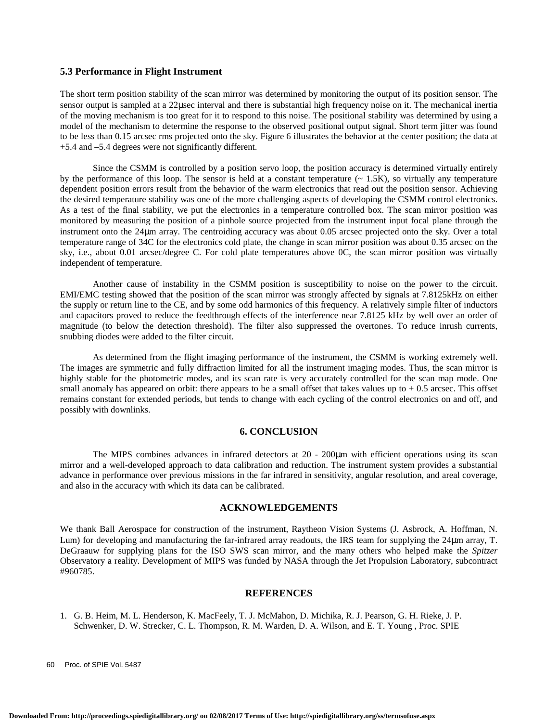### **5.3 Performance in Flight Instrument**

The short term position stability of the scan mirror was determined by monitoring the output of its position sensor. The sensor output is sampled at a 22µsec interval and there is substantial high frequency noise on it. The mechanical inertia of the moving mechanism is too great for it to respond to this noise. The positional stability was determined by using a model of the mechanism to determine the response to the observed positional output signal. Short term jitter was found to be less than 0.15 arcsec rms projected onto the sky. Figure 6 illustrates the behavior at the center position; the data at +5.4 and –5.4 degrees were not significantly different.

Since the CSMM is controlled by a position servo loop, the position accuracy is determined virtually entirely by the performance of this loop. The sensor is held at a constant temperature  $(-1.5K)$ , so virtually any temperature dependent position errors result from the behavior of the warm electronics that read out the position sensor. Achieving the desired temperature stability was one of the more challenging aspects of developing the CSMM control electronics. As a test of the final stability, we put the electronics in a temperature controlled box. The scan mirror position was monitored by measuring the position of a pinhole source projected from the instrument input focal plane through the instrument onto the 24µm array. The centroiding accuracy was about 0.05 arcsec projected onto the sky. Over a total temperature range of 34C for the electronics cold plate, the change in scan mirror position was about 0.35 arcsec on the sky, i.e., about 0.01 arcsec/degree C. For cold plate temperatures above 0C, the scan mirror position was virtually independent of temperature.

Another cause of instability in the CSMM position is susceptibility to noise on the power to the circuit. EMI/EMC testing showed that the position of the scan mirror was strongly affected by signals at 7.8125kHz on either the supply or return line to the CE, and by some odd harmonics of this frequency. A relatively simple filter of inductors and capacitors proved to reduce the feedthrough effects of the interference near 7.8125 kHz by well over an order of magnitude (to below the detection threshold). The filter also suppressed the overtones. To reduce inrush currents, snubbing diodes were added to the filter circuit.

As determined from the flight imaging performance of the instrument, the CSMM is working extremely well. The images are symmetric and fully diffraction limited for all the instrument imaging modes. Thus, the scan mirror is highly stable for the photometric modes, and its scan rate is very accurately controlled for the scan map mode. One small anomaly has appeared on orbit: there appears to be a small offset that takes values up to  $+0.5$  arcsec. This offset remains constant for extended periods, but tends to change with each cycling of the control electronics on and off, and possibly with downlinks.

## **6. CONCLUSION**

The MIPS combines advances in infrared detectors at 20 - 200µm with efficient operations using its scan mirror and a well-developed approach to data calibration and reduction. The instrument system provides a substantial advance in performance over previous missions in the far infrared in sensitivity, angular resolution, and areal coverage, and also in the accuracy with which its data can be calibrated.

## **ACKNOWLEDGEMENTS**

We thank Ball Aerospace for construction of the instrument, Raytheon Vision Systems (J. Asbrock, A. Hoffman, N. Lum) for developing and manufacturing the far-infrared array readouts, the IRS team for supplying the 24µm array, T. DeGraauw for supplying plans for the ISO SWS scan mirror, and the many others who helped make the *Spitzer* Observatory a reality. Development of MIPS was funded by NASA through the Jet Propulsion Laboratory, subcontract #960785.

### **REFERENCES**

1. G. B. Heim, M. L. Henderson, K. MacFeely, T. J. McMahon, D. Michika, R. J. Pearson, G. H. Rieke, J. P. Schwenker, D. W. Strecker, C. L. Thompson, R. M. Warden, D. A. Wilson, and E. T. Young , Proc. SPIE